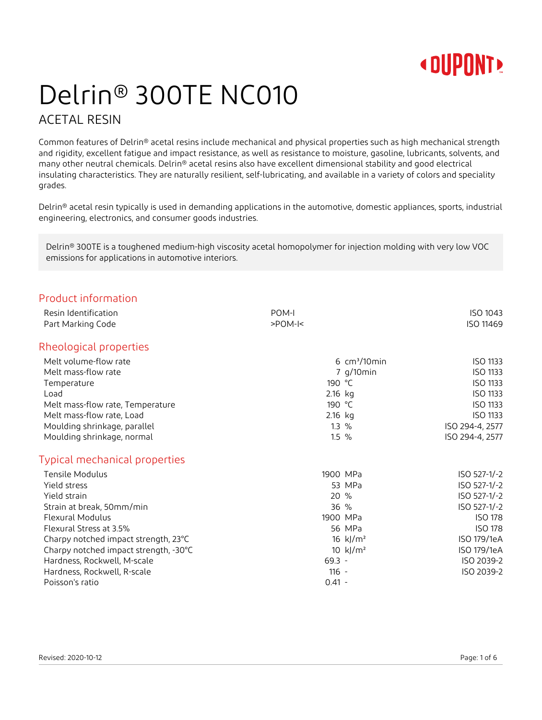

# Delrin® 300TE NC010

### ACETAL RESIN

Common features of Delrin® acetal resins include mechanical and physical properties such as high mechanical strength and rigidity, excellent fatigue and impact resistance, as well as resistance to moisture, gasoline, lubricants, solvents, and many other neutral chemicals. Delrin® acetal resins also have excellent dimensional stability and good electrical insulating characteristics. They are naturally resilient, self-lubricating, and available in a variety of colors and speciality grades.

Delrin® acetal resin typically is used in demanding applications in the automotive, domestic appliances, sports, industrial engineering, electronics, and consumer goods industries.

Delrin® 300TE is a toughened medium-high viscosity acetal homopolymer for injection molding with very low VOC emissions for applications in automotive interiors.

| Product information                   |                                |                 |
|---------------------------------------|--------------------------------|-----------------|
| Resin Identification                  | POM-I                          | ISO 1043        |
| Part Marking Code                     | $>$ POM- $\leq$                | ISO 11469       |
| Rheological properties                |                                |                 |
| Melt volume-flow rate                 | $6 \text{ cm}^3/10 \text{min}$ | ISO 1133        |
| Melt mass-flow rate                   | 7 g/10min                      | ISO 1133        |
| Temperature                           | 190 °C                         | ISO 1133        |
| Load                                  | 2.16 kg                        | <b>ISO 1133</b> |
| Melt mass-flow rate, Temperature      | 190 °C                         | ISO 1133        |
| Melt mass-flow rate, Load             | 2.16 kg                        | ISO 1133        |
| Moulding shrinkage, parallel          | $1.3\%$                        | ISO 294-4, 2577 |
| Moulding shrinkage, normal            | $1.5\%$                        | ISO 294-4, 2577 |
| Typical mechanical properties         |                                |                 |
| Tensile Modulus                       | 1900 MPa                       | ISO 527-1/-2    |
| Yield stress                          | 53 MPa                         | ISO 527-1/-2    |
| Yield strain                          | 20 %                           | ISO 527-1/-2    |
| Strain at break, 50mm/min             | 36%                            | ISO 527-1/-2    |
| <b>Flexural Modulus</b>               | 1900 MPa                       | <b>ISO 178</b>  |
| Flexural Stress at 3.5%               | 56 MPa                         | <b>ISO 178</b>  |
| Charpy notched impact strength, 23°C  | 16 $k/m^2$                     | ISO 179/1eA     |
| Charpy notched impact strength, -30°C | 10 $k$ /m <sup>2</sup>         | ISO 179/1eA     |
| Hardness, Rockwell, M-scale           | $69.3 -$                       | ISO 2039-2      |
| Hardness, Rockwell, R-scale           | $116 -$                        | ISO 2039-2      |
| Poisson's ratio                       | $0.41 -$                       |                 |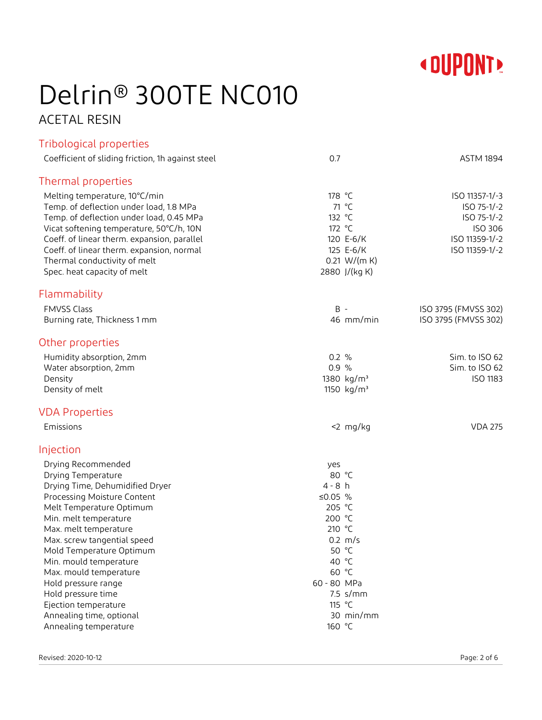

# Delrin® 300TE NC010

## ACETAL RESIN

| Tribological properties                           |                        |                      |
|---------------------------------------------------|------------------------|----------------------|
| Coefficient of sliding friction, 1h against steel | 0.7                    | <b>ASTM 1894</b>     |
| Thermal properties                                |                        |                      |
| Melting temperature, 10°C/min                     | 178 °C                 | ISO 11357-1/-3       |
| Temp. of deflection under load, 1.8 MPa           | 71 °C                  | ISO 75-1/-2          |
| Temp. of deflection under load, 0.45 MPa          | 132 °C                 | ISO 75-1/-2          |
| Vicat softening temperature, 50°C/h, 10N          | 172 °C                 | ISO 306              |
| Coeff. of linear therm. expansion, parallel       | 120 E-6/K              | ISO 11359-1/-2       |
| Coeff. of linear therm. expansion, normal         | 125 E-6/K              | ISO 11359-1/-2       |
| Thermal conductivity of melt                      | 0.21 W/(m K)           |                      |
| Spec. heat capacity of melt                       | 2880 J/(kg K)          |                      |
| Flammability                                      |                        |                      |
| <b>FMVSS Class</b>                                | $B -$                  | ISO 3795 (FMVSS 302) |
| Burning rate, Thickness 1 mm                      | 46 mm/min              | ISO 3795 (FMVSS 302) |
| Other properties                                  |                        |                      |
| Humidity absorption, 2mm                          | 0.2 %                  | Sim. to ISO 62       |
| Water absorption, 2mm                             | 0.9 %                  | Sim. to ISO 62       |
| Density                                           | 1380 kg/m <sup>3</sup> | <b>ISO 1183</b>      |
| Density of melt                                   | 1150 kg/m <sup>3</sup> |                      |
| <b>VDA Properties</b>                             |                        |                      |
| Emissions                                         | $<$ 2 mg/kg            | <b>VDA 275</b>       |
| Injection                                         |                        |                      |
| Drying Recommended                                | yes                    |                      |
| Drying Temperature                                | 80 °C                  |                      |
| Drying Time, Dehumidified Dryer                   | $4 - 8 h$              |                      |
| Processing Moisture Content                       | ≤0.05 $%$              |                      |
| Melt Temperature Optimum                          | 205 °C                 |                      |
| Min. melt temperature                             | 200 °C                 |                      |
| Max. melt temperature                             | 210 °C                 |                      |
| Max. screw tangential speed                       | $0.2 \, m/s$<br>50 °C  |                      |
| Mold Temperature Optimum                          | 40 °C                  |                      |
| Min. mould temperature<br>Max. mould temperature  | 60 °C                  |                      |
| Hold pressure range                               | 60 - 80 MPa            |                      |
| Hold pressure time                                | $7.5$ s/mm             |                      |
| Ejection temperature                              | 115 °C                 |                      |
| Annealing time, optional                          | 30 min/mm              |                      |
| Annealing temperature                             | 160 °C                 |                      |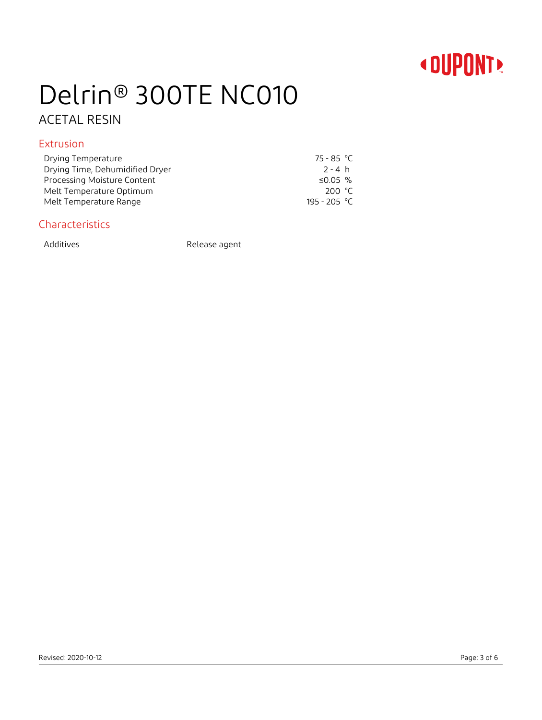## **« DUPONT!**

## Delrin® 300TE NC010

## ACETAL RESIN

### Extrusion

| Drying Temperature              | 75 - 85 °C   |
|---------------------------------|--------------|
| Drying Time, Dehumidified Dryer | 2 - 4 h      |
| Processing Moisture Content     | ≤0.05 %      |
| Melt Temperature Optimum        | 200 °C       |
| Melt Temperature Range          | 195 - 205 °C |

### Characteristics

Additives Release agent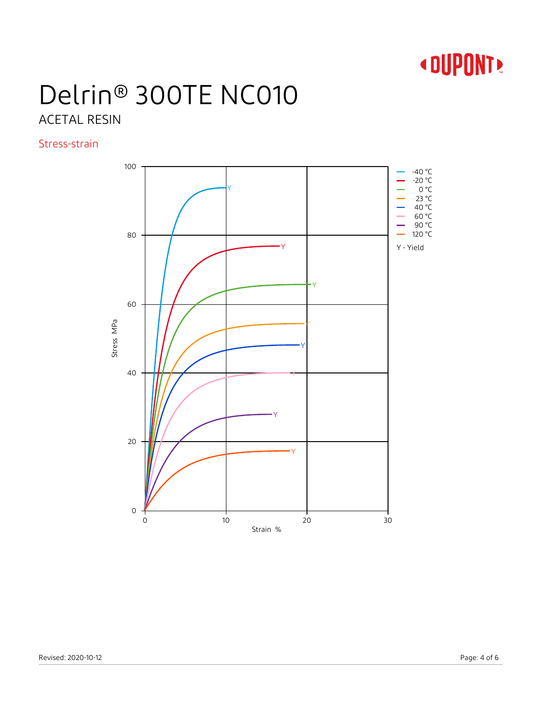

## Delrin® 300TE NC010 ACETAL RESIN

Stress-strain

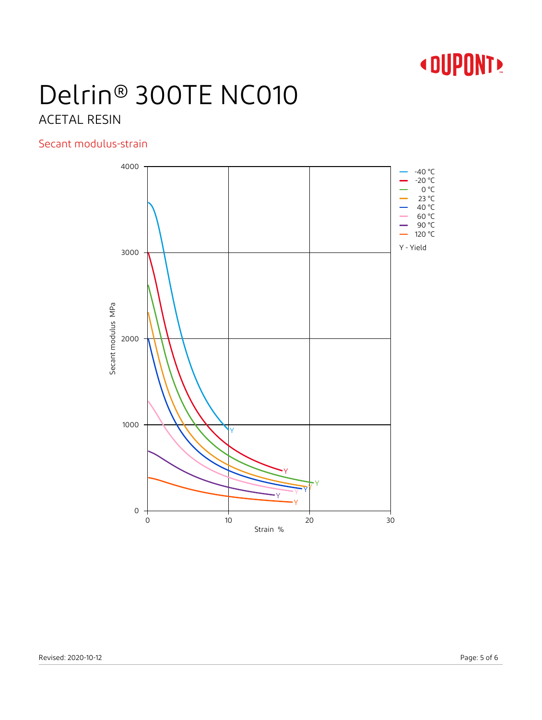

# Delrin® 300TE NC010

## ACETAL RESIN

### Secant modulus-strain